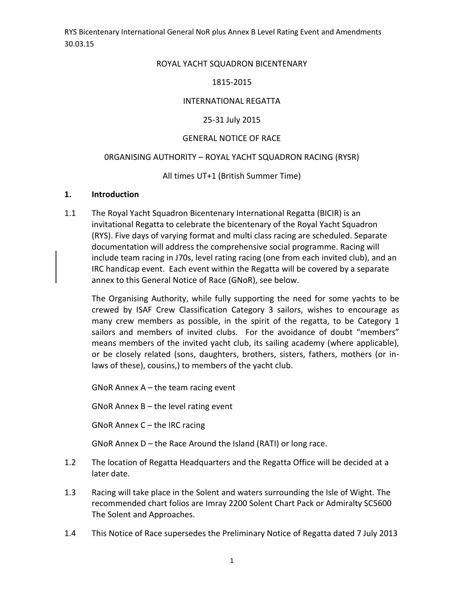#### ROYAL YACHT SQUADRON BICENTENARY

#### 1815-2015

#### INTERNATIONAL REGATTA

#### 25-31 July 2015

#### GENERAL NOTICE OF RACE

#### 0RGANISING AUTHORITY – ROYAL YACHT SQUADRON RACING (RYSR)

#### All times UT+1 (British Summer Time)

#### **1. Introduction**

1.1 The Royal Yacht Squadron Bicentenary International Regatta (BICIR) is an invitational Regatta to celebrate the bicentenary of the Royal Yacht Squadron (RYS). Five days of varying format and multi class racing are scheduled. Separate documentation will address the comprehensive social programme. Racing will include team racing in J70s, level rating racing (one from each invited club), and an IRC handicap event. Each event within the Regatta will be covered by a separate annex to this General Notice of Race (GNoR), see below.

The Organising Authority, while fully supporting the need for some yachts to be crewed by ISAF Crew Classification Category 3 sailors, wishes to encourage as many crew members as possible, in the spirit of the regatta, to be Category 1 sailors and members of invited clubs. For the avoidance of doubt "members" means members of the invited yacht club, its sailing academy (where applicable), or be closely related (sons, daughters, brothers, sisters, fathers, mothers (or inlaws of these), cousins,) to members of the yacht club.

GNoR Annex  $A$  – the team racing event

GNoR Annex  $B$  – the level rating event

GNoR Annex C – the IRC racing

GNoR Annex D – the Race Around the Island (RATI) or long race.

- 1.2 The location of Regatta Headquarters and the Regatta Office will be decided at a later date.
- 1.3 Racing will take place in the Solent and waters surrounding the Isle of Wight. The recommended chart folios are Imray 2200 Solent Chart Pack or Admiralty SC5600 The Solent and Approaches.
- 1.4 This Notice of Race supersedes the Preliminary Notice of Regatta dated 7 July 2013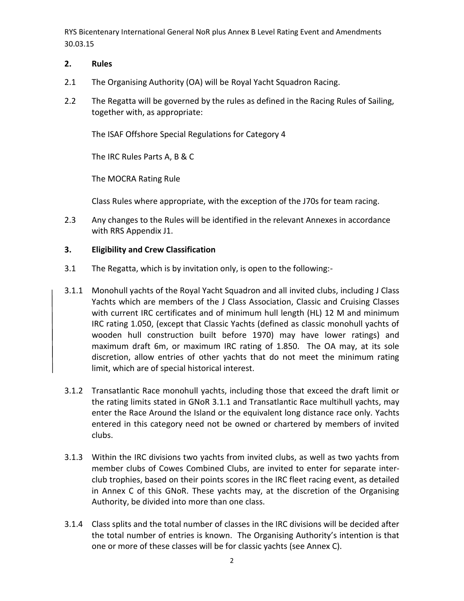### **2. Rules**

- 2.1 The Organising Authority (OA) will be Royal Yacht Squadron Racing.
- 2.2 The Regatta will be governed by the rules as defined in the Racing Rules of Sailing, together with, as appropriate:

The ISAF Offshore Special Regulations for Category 4

The IRC Rules Parts A, B & C

The MOCRA Rating Rule

Class Rules where appropriate, with the exception of the J70s for team racing.

2.3 Any changes to the Rules will be identified in the relevant Annexes in accordance with RRS Appendix J1.

### **3. Eligibility and Crew Classification**

- 3.1 The Regatta, which is by invitation only, is open to the following:-
- 3.1.1 Monohull yachts of the Royal Yacht Squadron and all invited clubs, including J Class Yachts which are members of the J Class Association, Classic and Cruising Classes with current IRC certificates and of minimum hull length (HL) 12 M and minimum IRC rating 1.050, (except that Classic Yachts (defined as classic monohull yachts of wooden hull construction built before 1970) may have lower ratings) and maximum draft 6m, or maximum IRC rating of 1.850. The OA may, at its sole discretion, allow entries of other yachts that do not meet the minimum rating limit, which are of special historical interest.
- 3.1.2 Transatlantic Race monohull yachts, including those that exceed the draft limit or the rating limits stated in GNoR 3.1.1 and Transatlantic Race multihull yachts, may enter the Race Around the Island or the equivalent long distance race only. Yachts entered in this category need not be owned or chartered by members of invited clubs.
- 3.1.3 Within the IRC divisions two yachts from invited clubs, as well as two yachts from member clubs of Cowes Combined Clubs, are invited to enter for separate interclub trophies, based on their points scores in the IRC fleet racing event, as detailed in Annex C of this GNoR. These yachts may, at the discretion of the Organising Authority, be divided into more than one class.
- 3.1.4 Class splits and the total number of classes in the IRC divisions will be decided after the total number of entries is known. The Organising Authority's intention is that one or more of these classes will be for classic yachts (see Annex C).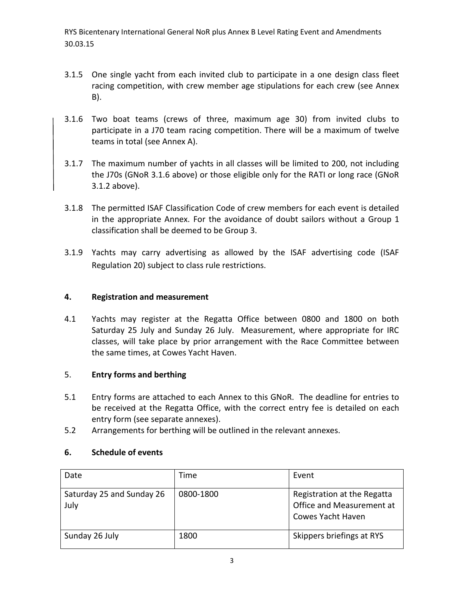- 3.1.5 One single yacht from each invited club to participate in a one design class fleet racing competition, with crew member age stipulations for each crew (see Annex B).
- 3.1.6 Two boat teams (crews of three, maximum age 30) from invited clubs to participate in a J70 team racing competition. There will be a maximum of twelve teams in total (see Annex A).
- 3.1.7 The maximum number of yachts in all classes will be limited to 200, not including the J70s (GNoR 3.1.6 above) or those eligible only for the RATI or long race (GNoR 3.1.2 above).
- 3.1.8 The permitted ISAF Classification Code of crew members for each event is detailed in the appropriate Annex. For the avoidance of doubt sailors without a Group 1 classification shall be deemed to be Group 3.
- 3.1.9 Yachts may carry advertising as allowed by the ISAF advertising code (ISAF Regulation 20) subject to class rule restrictions.

## **4. Registration and measurement**

4.1 Yachts may register at the Regatta Office between 0800 and 1800 on both Saturday 25 July and Sunday 26 July. Measurement, where appropriate for IRC classes, will take place by prior arrangement with the Race Committee between the same times, at Cowes Yacht Haven.

## 5. **Entry forms and berthing**

- 5.1 Entry forms are attached to each Annex to this GNoR. The deadline for entries to be received at the Regatta Office, with the correct entry fee is detailed on each entry form (see separate annexes).
- 5.2 Arrangements for berthing will be outlined in the relevant annexes.

## **6. Schedule of events**

| Date                              | Time      | Event                                                                                |
|-----------------------------------|-----------|--------------------------------------------------------------------------------------|
| Saturday 25 and Sunday 26<br>July | 0800-1800 | Registration at the Regatta<br>Office and Measurement at<br><b>Cowes Yacht Haven</b> |
| Sunday 26 July                    | 1800      | Skippers briefings at RYS                                                            |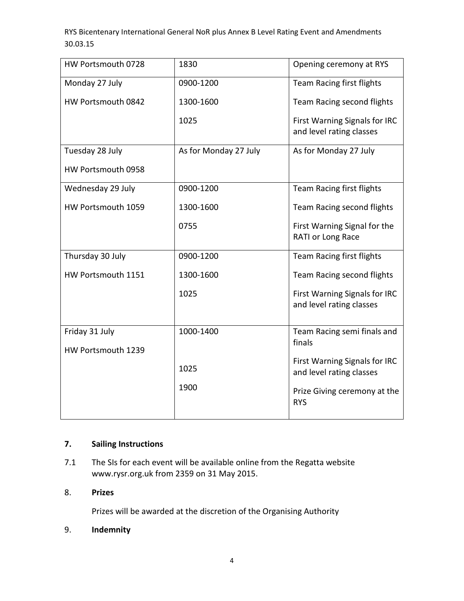| HW Portsmouth 0728 | 1830                  | Opening ceremony at RYS                                   |
|--------------------|-----------------------|-----------------------------------------------------------|
| Monday 27 July     | 0900-1200             | Team Racing first flights                                 |
| HW Portsmouth 0842 | 1300-1600             | Team Racing second flights                                |
|                    | 1025                  | First Warning Signals for IRC<br>and level rating classes |
| Tuesday 28 July    | As for Monday 27 July | As for Monday 27 July                                     |
| HW Portsmouth 0958 |                       |                                                           |
| Wednesday 29 July  | 0900-1200             | Team Racing first flights                                 |
| HW Portsmouth 1059 | 1300-1600             | Team Racing second flights                                |
|                    | 0755                  | First Warning Signal for the<br>RATI or Long Race         |
| Thursday 30 July   | 0900-1200             | Team Racing first flights                                 |
| HW Portsmouth 1151 | 1300-1600             | Team Racing second flights                                |
|                    | 1025                  | First Warning Signals for IRC<br>and level rating classes |
| Friday 31 July     | 1000-1400             | Team Racing semi finals and                               |
| HW Portsmouth 1239 |                       | finals                                                    |
|                    | 1025                  | First Warning Signals for IRC<br>and level rating classes |
|                    | 1900                  | Prize Giving ceremony at the<br><b>RYS</b>                |

## **7. Sailing Instructions**

7.1 The SIs for each event will be available online from the Regatta website www.rysr.org.uk from 2359 on 31 May 2015.

## 8. **Prizes**

Prizes will be awarded at the discretion of the Organising Authority

## 9. **Indemnity**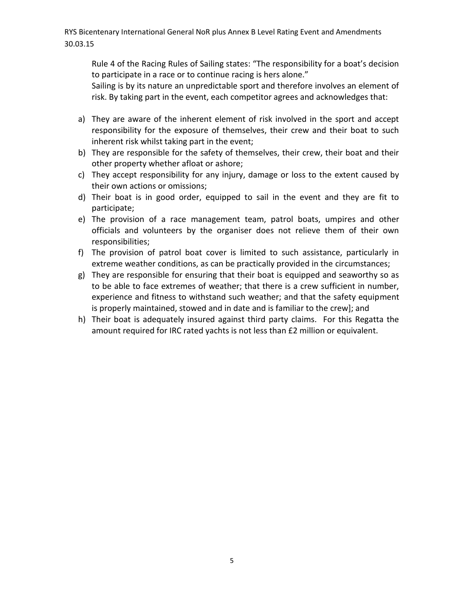Rule 4 of the Racing Rules of Sailing states: "The responsibility for a boat's decision to participate in a race or to continue racing is hers alone."

Sailing is by its nature an unpredictable sport and therefore involves an element of risk. By taking part in the event, each competitor agrees and acknowledges that:

- a) They are aware of the inherent element of risk involved in the sport and accept responsibility for the exposure of themselves, their crew and their boat to such inherent risk whilst taking part in the event;
- b) They are responsible for the safety of themselves, their crew, their boat and their other property whether afloat or ashore;
- c) They accept responsibility for any injury, damage or loss to the extent caused by their own actions or omissions;
- d) Their boat is in good order, equipped to sail in the event and they are fit to participate;
- e) The provision of a race management team, patrol boats, umpires and other officials and volunteers by the organiser does not relieve them of their own responsibilities;
- f) The provision of patrol boat cover is limited to such assistance, particularly in extreme weather conditions, as can be practically provided in the circumstances;
- g) They are responsible for ensuring that their boat is equipped and seaworthy so as to be able to face extremes of weather; that there is a crew sufficient in number, experience and fitness to withstand such weather; and that the safety equipment is properly maintained, stowed and in date and is familiar to the crew]; and
- h) Their boat is adequately insured against third party claims. For this Regatta the amount required for IRC rated yachts is not less than £2 million or equivalent.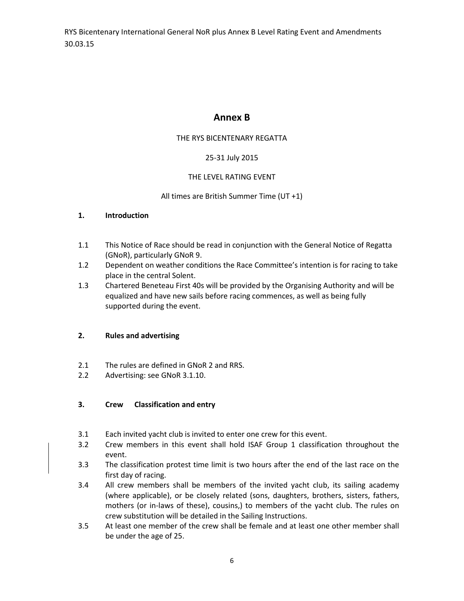## **Annex B**

### THE RYS BICENTENARY REGATTA

### 25-31 July 2015

### THE LEVEL RATING EVENT

### All times are British Summer Time (UT +1)

#### **1. Introduction**

- 1.1 This Notice of Race should be read in conjunction with the General Notice of Regatta (GNoR), particularly GNoR 9.
- 1.2 Dependent on weather conditions the Race Committee's intention is for racing to take place in the central Solent.
- 1.3 Chartered Beneteau First 40s will be provided by the Organising Authority and will be equalized and have new sails before racing commences, as well as being fully supported during the event.

### **2. Rules and advertising**

- 2.1 The rules are defined in GNoR 2 and RRS.
- 2.2 Advertising: see GNoR 3.1.10.

### **3. Crew Classification and entry**

- 3.1 Each invited yacht club is invited to enter one crew for this event.
- 3.2 Crew members in this event shall hold ISAF Group 1 classification throughout the event.
- 3.3 The classification protest time limit is two hours after the end of the last race on the first day of racing.
- 3.4 All crew members shall be members of the invited yacht club, its sailing academy (where applicable), or be closely related (sons, daughters, brothers, sisters, fathers, mothers (or in-laws of these), cousins,) to members of the yacht club. The rules on crew substitution will be detailed in the Sailing Instructions.
- 3.5 At least one member of the crew shall be female and at least one other member shall be under the age of 25.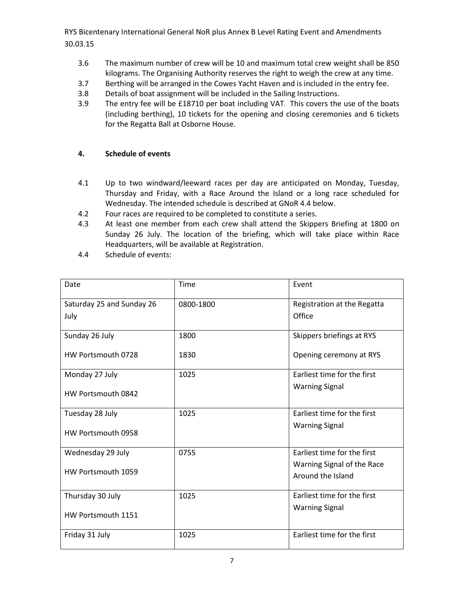- 3.6 The maximum number of crew will be 10 and maximum total crew weight shall be 850 kilograms. The Organising Authority reserves the right to weigh the crew at any time.
- 3.7 Berthing will be arranged in the Cowes Yacht Haven and is included in the entry fee.
- 3.8 Details of boat assignment will be included in the Sailing Instructions.
- 3.9 The entry fee will be £18710 per boat including VAT. This covers the use of the boats (including berthing), 10 tickets for the opening and closing ceremonies and 6 tickets for the Regatta Ball at Osborne House.

#### **4. Schedule of events**

- 4.1 Up to two windward/leeward races per day are anticipated on Monday, Tuesday, Thursday and Friday, with a Race Around the Island or a long race scheduled for Wednesday. The intended schedule is described at GNoR 4.4 below.
- 4.2 Four races are required to be completed to constitute a series.
- 4.3 At least one member from each crew shall attend the Skippers Briefing at 1800 on Sunday 26 July. The location of the briefing, which will take place within Race Headquarters, will be available at Registration.
- 4.4 Schedule of events:

| Date                      | Time      | Event                       |
|---------------------------|-----------|-----------------------------|
| Saturday 25 and Sunday 26 | 0800-1800 | Registration at the Regatta |
| July                      |           | Office                      |
| Sunday 26 July            | 1800      | Skippers briefings at RYS   |
| HW Portsmouth 0728        | 1830      | Opening ceremony at RYS     |
| Monday 27 July            | 1025      | Farliest time for the first |
| HW Portsmouth 0842        |           | <b>Warning Signal</b>       |
| Tuesday 28 July           | 1025      | Earliest time for the first |
| HW Portsmouth 0958        |           | <b>Warning Signal</b>       |
| Wednesday 29 July         | 0755      | Earliest time for the first |
| HW Portsmouth 1059        |           | Warning Signal of the Race  |
|                           |           | Around the Island           |
| Thursday 30 July          | 1025      | Earliest time for the first |
| HW Portsmouth 1151        |           | <b>Warning Signal</b>       |
| Friday 31 July            | 1025      | Earliest time for the first |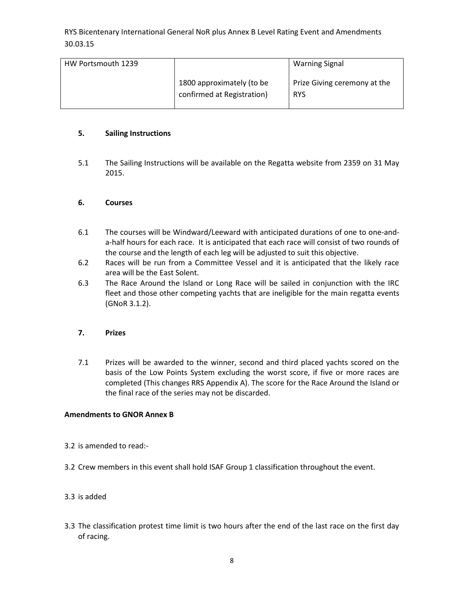| HW Portsmouth 1239 |                                                         | <b>Warning Signal</b>                      |
|--------------------|---------------------------------------------------------|--------------------------------------------|
|                    | 1800 approximately (to be<br>confirmed at Registration) | Prize Giving ceremony at the<br><b>RYS</b> |

#### **5. Sailing Instructions**

5.1 The Sailing Instructions will be available on the Regatta website from 2359 on 31 May 2015.

#### **6. Courses**

- 6.1 The courses will be Windward/Leeward with anticipated durations of one to one-anda-half hours for each race. It is anticipated that each race will consist of two rounds of the course and the length of each leg will be adjusted to suit this objective.
- 6.2 Races will be run from a Committee Vessel and it is anticipated that the likely race area will be the East Solent.
- 6.3 The Race Around the Island or Long Race will be sailed in conjunction with the IRC fleet and those other competing yachts that are ineligible for the main regatta events (GNoR 3.1.2).

#### **7. Prizes**

7.1 Prizes will be awarded to the winner, second and third placed yachts scored on the basis of the Low Points System excluding the worst score, if five or more races are completed (This changes RRS Appendix A). The score for the Race Around the Island or the final race of the series may not be discarded.

#### **Amendments to GNOR Annex B**

- 3.2 is amended to read:-
- 3.2 Crew members in this event shall hold ISAF Group 1 classification throughout the event.

### 3.3 is added

3.3 The classification protest time limit is two hours after the end of the last race on the first day of racing.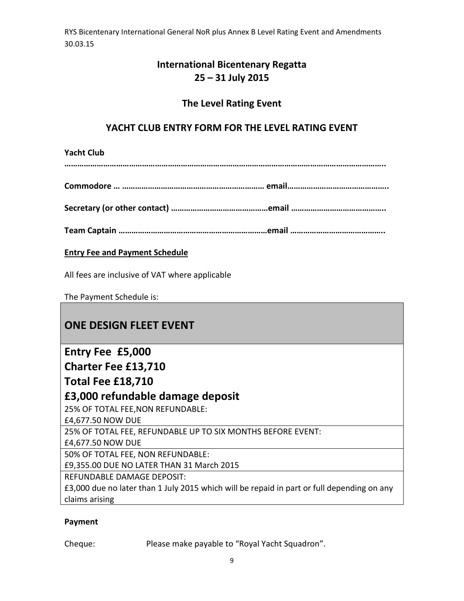## **International Bicentenary Regatta 25 – 31 July 2015**

## **The Level Rating Event**

## **YACHT CLUB ENTRY FORM FOR THE LEVEL RATING EVENT**

**Yacht Club** 

**…………………………………………………………………………………………………………………………………..**

**Commodore … ………………………………………………………… email………………………………………..**

**Secretary (or other contact) ………………………………………email ……………………………………..**

**Team Captain ……………………………………………………………email ……………………………………..**

## **Entry Fee and Payment Schedule**

All fees are inclusive of VAT where applicable

The Payment Schedule is:

# **ONE DESIGN FLEET EVENT**

# **Entry Fee £5,000**

**Charter Fee £13,710**

## **Total Fee £18,710**

## **£3,000 refundable damage deposit**

25% OF TOTAL FEE,NON REFUNDABLE:

£4,677.50 NOW DUE

25% OF TOTAL FEE, REFUNDABLE UP TO SIX MONTHS BEFORE EVENT:

£4,677.50 NOW DUE

50% OF TOTAL FEE, NON REFUNDABLE:

£9,355.00 DUE NO LATER THAN 31 March 2015

REFUNDABLE DAMAGE DEPOSIT:

£3,000 due no later than 1 July 2015 which will be repaid in part or full depending on any claims arising

## **Payment**

Cheque: Please make payable to "Royal Yacht Squadron".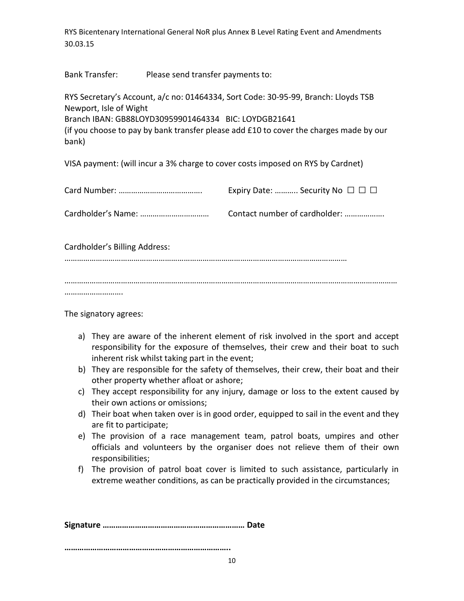Bank Transfer: Please send transfer payments to:

RYS Secretary's Account, a/c no: 01464334, Sort Code: 30-95-99, Branch: Lloyds TSB Newport, Isle of Wight Branch IBAN: GB88LOYD30959901464334 BIC: LOYDGB21641 (if you choose to pay by bank transfer please add £10 to cover the charges made by our bank)

VISA payment: (will incur a 3% charge to cover costs imposed on RYS by Cardnet)

|                               | Expiry Date:  Security No $\Box$ $\Box$ |
|-------------------------------|-----------------------------------------|
|                               | Contact number of cardholder:           |
| Cardholder's Billing Address: |                                         |
|                               |                                         |
|                               |                                         |

The signatory agrees:

- a) They are aware of the inherent element of risk involved in the sport and accept responsibility for the exposure of themselves, their crew and their boat to such inherent risk whilst taking part in the event;
- b) They are responsible for the safety of themselves, their crew, their boat and their other property whether afloat or ashore;
- c) They accept responsibility for any injury, damage or loss to the extent caused by their own actions or omissions;
- d) Their boat when taken over is in good order, equipped to sail in the event and they are fit to participate;
- e) The provision of a race management team, patrol boats, umpires and other officials and volunteers by the organiser does not relieve them of their own responsibilities;
- f) The provision of patrol boat cover is limited to such assistance, particularly in extreme weather conditions, as can be practically provided in the circumstances;

**Signature ………………………………………………………… Date** 

**…………………………………………………………………..**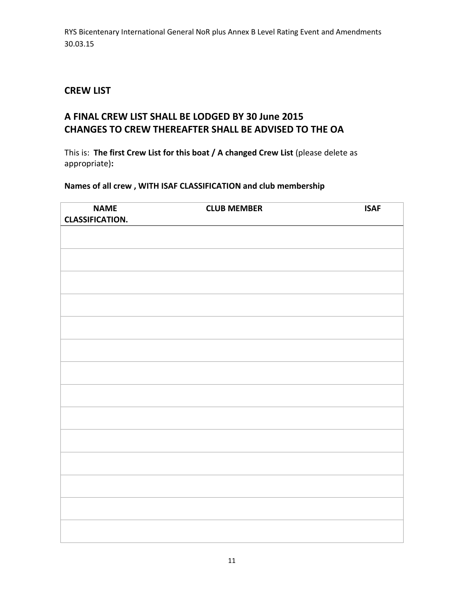## **CREW LIST**

## **A FINAL CREW LIST SHALL BE LODGED BY 30 June 2015 CHANGES TO CREW THEREAFTER SHALL BE ADVISED TO THE OA**

This is: **The first Crew List for this boat / A changed Crew List** (please delete as appropriate)**:**

## **Names of all crew , WITH ISAF CLASSIFICATION and club membership**

| <b>NAME</b><br><b>CLASSIFICATION.</b> | <b>CLUB MEMBER</b> | <b>ISAF</b> |
|---------------------------------------|--------------------|-------------|
|                                       |                    |             |
|                                       |                    |             |
|                                       |                    |             |
|                                       |                    |             |
|                                       |                    |             |
|                                       |                    |             |
|                                       |                    |             |
|                                       |                    |             |
|                                       |                    |             |
|                                       |                    |             |
|                                       |                    |             |
|                                       |                    |             |
|                                       |                    |             |
|                                       |                    |             |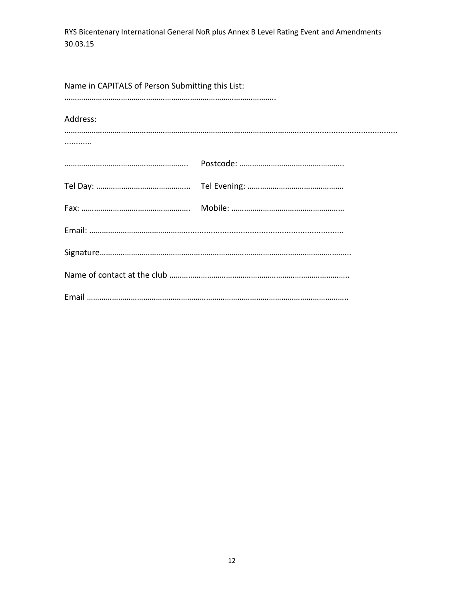| Name in CAPITALS of Person Submitting this List: |  |
|--------------------------------------------------|--|
| Address:                                         |  |
| .                                                |  |
|                                                  |  |
|                                                  |  |
|                                                  |  |
|                                                  |  |
|                                                  |  |
|                                                  |  |
|                                                  |  |